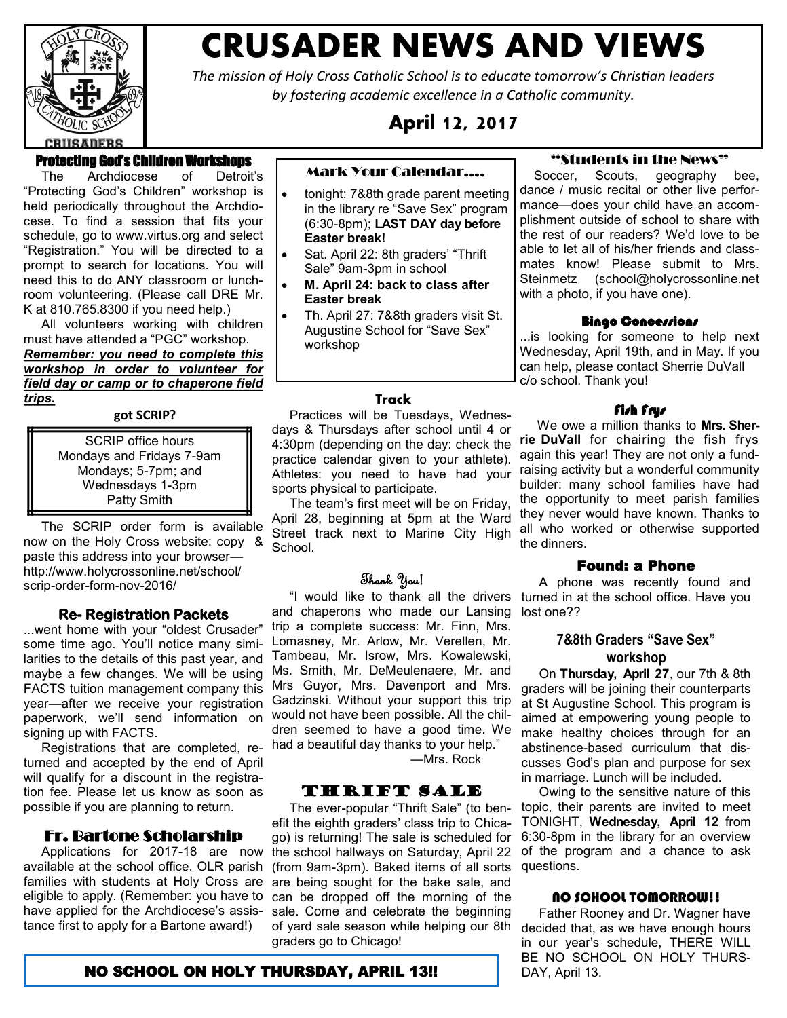

# **CRUSADER NEWS AND VIEWS**

*The mission of Holy Cross Catholic School is to educate tomorrow's Christian leaders by fostering academic excellence in a Catholic community.*

**April 12, 2017**

# Protecting God's Children Workshops

 The Archdiocese of Detroit's "Protecting God's Children" workshop is held periodically throughout the Archdiocese. To find a session that fits your schedule, go to [www.virtus.org a](http://www.virtus.org/)nd select "Registration." You will be directed to a prompt to search for locations. You will need this to do ANY classroom or lunchroom volunteering. (Please call DRE Mr. K at 810.765.8300 if you need help.)

 All volunteers working with children must have attended a "PGC" workshop. *Remember: you need to complete this workshop in order to volunteer for field day or camp or to chaperone field trips.*

#### **got SCRIP?**

SCRIP office hours Mondays and Fridays 7-9am Mondays; 5-7pm; and Wednesdays 1-3pm Patty Smith

 The SCRIP order form is available now on the Holy Cross website: copy & paste this address into your browser http://www.holycrossonline.net/school/ scrip-order-form-nov-2016/

#### **Re- Registration Packets**

...went home with your "oldest Crusader" some time ago. You'll notice many similarities to the details of this past year, and maybe a few changes. We will be using FACTS tuition management company this year—after we receive your registration paperwork, we'll send information on signing up with FACTS.

 Registrations that are completed, returned and accepted by the end of April will qualify for a discount in the registration fee. Please let us know as soon as possible if you are planning to return.

# Fr. Bartone Scholarship

 Applications for 2017-18 are now available at the school office. OLR parish families with students at Holy Cross are eligible to apply. (Remember: you have to have applied for the Archdiocese's assistance first to apply for a Bartone award!)

#### Mark Your Calendar….

- tonight: 7&8th grade parent meeting in the library re "Save Sex" program (6:30-8pm); **LAST DAY day before Easter break!**
- Sat. April 22: 8th graders' "Thrift Sale" 9am-3pm in school
- **M. April 24: back to class after Easter break**
- Th. April 27: 7&8th graders visit St. Augustine School for "Save Sex" workshop

#### **Track**

 Practices will be Tuesdays, Wednesdays & Thursdays after school until 4 or 4:30pm (depending on the day: check the practice calendar given to your athlete). Athletes: you need to have had your sports physical to participate.

 The team's first meet will be on Friday, April 28, beginning at 5pm at the Ward Street track next to Marine City High School.

## Thank You!

 "I would like to thank all the drivers and chaperons who made our Lansing trip a complete success: Mr. Finn, Mrs. Lomasney, Mr. Arlow, Mr. Verellen, Mr. Tambeau, Mr. Isrow, Mrs. Kowalewski, Ms. Smith, Mr. DeMeulenaere, Mr. and Mrs Guyor, Mrs. Davenport and Mrs. Gadzinski. Without your support this trip would not have been possible. All the children seemed to have a good time. We had a beautiful day thanks to your help."

—Mrs. Rock

# Thrift Sale

 The ever-popular "Thrift Sale" (to benefit the eighth graders' class trip to Chicago) is returning! The sale is scheduled for the school hallways on Saturday, April 22 (from 9am-3pm). Baked items of all sorts are being sought for the bake sale, and can be dropped off the morning of the sale. Come and celebrate the beginning of yard sale season while helping our 8th decided that, as we have enough hours graders go to Chicago!

#### "Students in the News"

 Soccer, Scouts, geography bee, dance / music recital or other live performance—does your child have an accomplishment outside of school to share with the rest of our readers? We'd love to be able to let all of his/her friends and classmates know! Please submit to Mrs. Steinmetz (school@holycrossonline.net with a photo, if you have one).

#### **Bingo Concessions**

...is looking for someone to help next Wednesday, April 19th, and in May. If you can help, please contact Sherrie DuVall c/o school. Thank you!

#### Fish Frys

 We owe a million thanks to **Mrs. Sherrie DuVall** for chairing the fish frys again this year! They are not only a fundraising activity but a wonderful community builder: many school families have had the opportunity to meet parish families they never would have known. Thanks to all who worked or otherwise supported the dinners.

## Found: a Phone

 A phone was recently found and turned in at the school office. Have you lost one??

# **7&8th Graders "Save Sex" workshop**

 On **Thursday, April 27**, our 7th & 8th graders will be joining their counterparts at St Augustine School. This program is aimed at empowering young people to make healthy choices through for an abstinence-based curriculum that discusses God's plan and purpose for sex in marriage. Lunch will be included.

 Owing to the sensitive nature of this topic, their parents are invited to meet TONIGHT, **Wednesday, April 12** from 6:30-8pm in the library for an overview of the program and a chance to ask questions.

#### NO SCHOOL TOMORROW!!

 Father Rooney and Dr. Wagner have in our year's schedule, THERE WILL BE NO SCHOOL ON HOLY THURS-

# **NO SCHOOL ON HOLY THURSDAY, APRIL 13!!** DAY, April 13.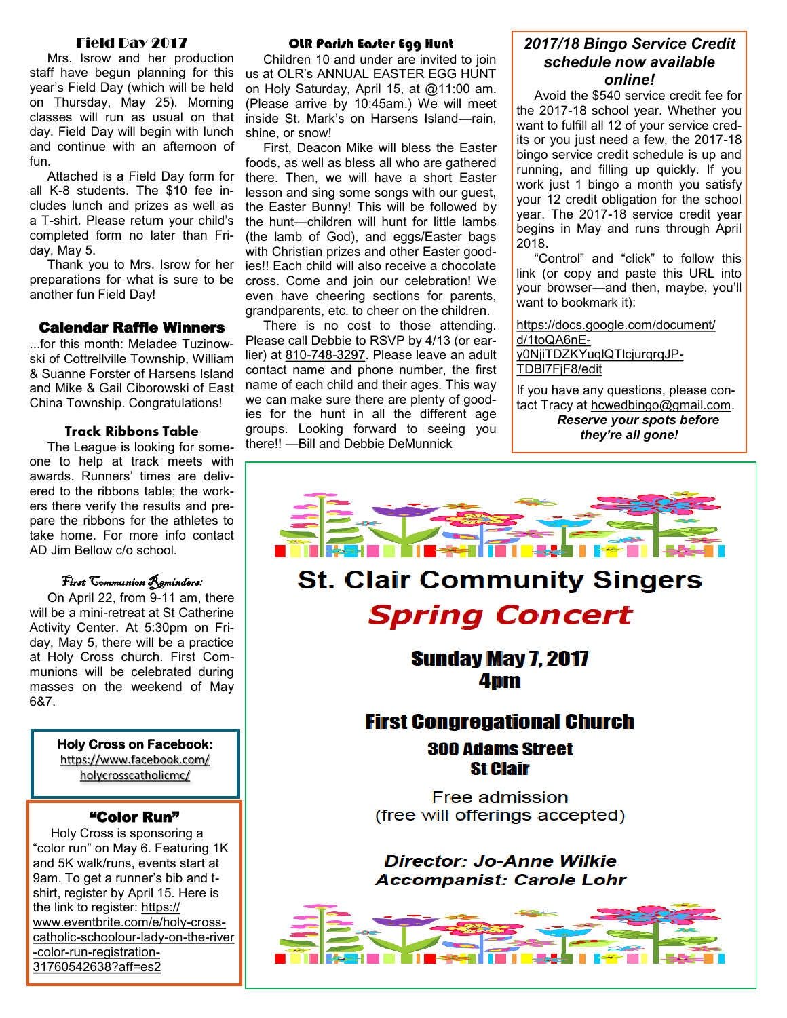# Field Day 2017

 Mrs. Isrow and her production staff have begun planning for this year's Field Day (which will be held on Thursday, May 25). Morning classes will run as usual on that day. Field Day will begin with lunch and continue with an afternoon of fun.

 Attached is a Field Day form for all K-8 students. The \$10 fee includes lunch and prizes as well as a T-shirt. Please return your child's completed form no later than Friday, May 5.

 Thank you to Mrs. Isrow for her preparations for what is sure to be another fun Field Day!

#### Calendar Raffle Winners

...for this month: Meladee Tuzinowski of Cottrellville Township, William & Suanne Forster of Harsens Island and Mike & Gail Ciborowski of East China Township. Congratulations!

#### **Track Ribbons Table**

 The League is looking for someone to help at track meets with awards. Runners' times are delivered to the ribbons table; the workers there verify the results and prepare the ribbons for the athletes to take home. For more info contact AD Jim Bellow c/o school.

# First Communion Reminders:

 On April 22, from 9-11 am, there will be a mini-retreat at St Catherine Activity Center. At 5:30pm on Friday, May 5, there will be a practice at Holy Cross church. First Communions will be celebrated during masses on the weekend of May 6&7.

> **Holy Cross on Facebook:**  [https://www.facebook.com/](https://www.facebook.com/holycrosscatholicmc/) [holycrosscatholicmc/](https://www.facebook.com/holycrosscatholicmc/)

# "Color Run"

 Holy Cross is sponsoring a "color run" on May 6. Featuring 1K and 5K walk/runs, events start at 9am. To get a runner's bib and tshirt, register by April 15. Here is the link to register: [https://](https://www.eventbrite.com/e/holy-cross-catholic-schoolour-lady-on-the-river-color-run-registration-31760542638?aff=es2) [www.eventbrite.com/e/holy](https://www.eventbrite.com/e/holy-cross-catholic-schoolour-lady-on-the-river-color-run-registration-31760542638?aff=es2)-crosscatholic-[schoolour](https://www.eventbrite.com/e/holy-cross-catholic-schoolour-lady-on-the-river-color-run-registration-31760542638?aff=es2)-lady-on-the-river -color-run-[registration](https://www.eventbrite.com/e/holy-cross-catholic-schoolour-lady-on-the-river-color-run-registration-31760542638?aff=es2)-[31760542638?aff=es2](https://www.eventbrite.com/e/holy-cross-catholic-schoolour-lady-on-the-river-color-run-registration-31760542638?aff=es2)

#### OLR Parish Easter Egg Hunt

 Children 10 and under are invited to join us at OLR's ANNUAL EASTER EGG HUNT on Holy Saturday, April 15, at @11:00 am. (Please arrive by 10:45am.) We will meet inside St. Mark's on Harsens Island—rain, shine, or snow!

 First, Deacon Mike will bless the Easter foods, as well as bless all who are gathered there. Then, we will have a short Easter lesson and sing some songs with our guest, the Easter Bunny! This will be followed by the hunt—children will hunt for little lambs (the lamb of God), and eggs/Easter bags with Christian prizes and other Easter goodies!! Each child will also receive a chocolate cross. Come and join our celebration! We even have cheering sections for parents, grandparents, etc. to cheer on the children.

 There is no cost to those attending. Please call Debbie to RSVP by 4/13 (or earlier) at 810-748-[3297.](tel:(810)%20748-3297) Please leave an adult contact name and phone number, the first name of each child and their ages. This way we can make sure there are plenty of goodies for the hunt in all the different age groups. Looking forward to seeing you there!! —Bill and Debbie DeMunnick

# *2017/18 Bingo Service Credit schedule now available online!*

 Avoid the \$540 service credit fee for the 2017-18 school year. Whether you want to fulfill all 12 of your service credits or you just need a few, the 2017-18 bingo service credit schedule is up and running, and filling up quickly. If you work just 1 bingo a month you satisfy your 12 credit obligation for the school year. The 2017-18 service credit year begins in May and runs through April 2018.

 "Control" and "click" to follow this link (or copy and paste this URL into your browser—and then, maybe, you'll want to bookmark it):

[https://docs.google.com/document/](https://docs.google.com/document/d/1toQA6nE-y0NjiTDZKYuqlQTlcjurqrqJP-TDBl7FjF8/edit) [d/1toQA6nE](https://docs.google.com/document/d/1toQA6nE-y0NjiTDZKYuqlQTlcjurqrqJP-TDBl7FjF8/edit)[y0NjiTDZKYuqlQTlcjurqrqJP](https://docs.google.com/document/d/1toQA6nE-y0NjiTDZKYuqlQTlcjurqrqJP-TDBl7FjF8/edit)-[TDBl7FjF8/edit](https://docs.google.com/document/d/1toQA6nE-y0NjiTDZKYuqlQTlcjurqrqJP-TDBl7FjF8/edit)

If you have any questions, please contact Tracy at [hcwedbingo@gmail.com.](mailto:hcwedbingo@gmail.com) *Reserve your spots before they're all gone!*